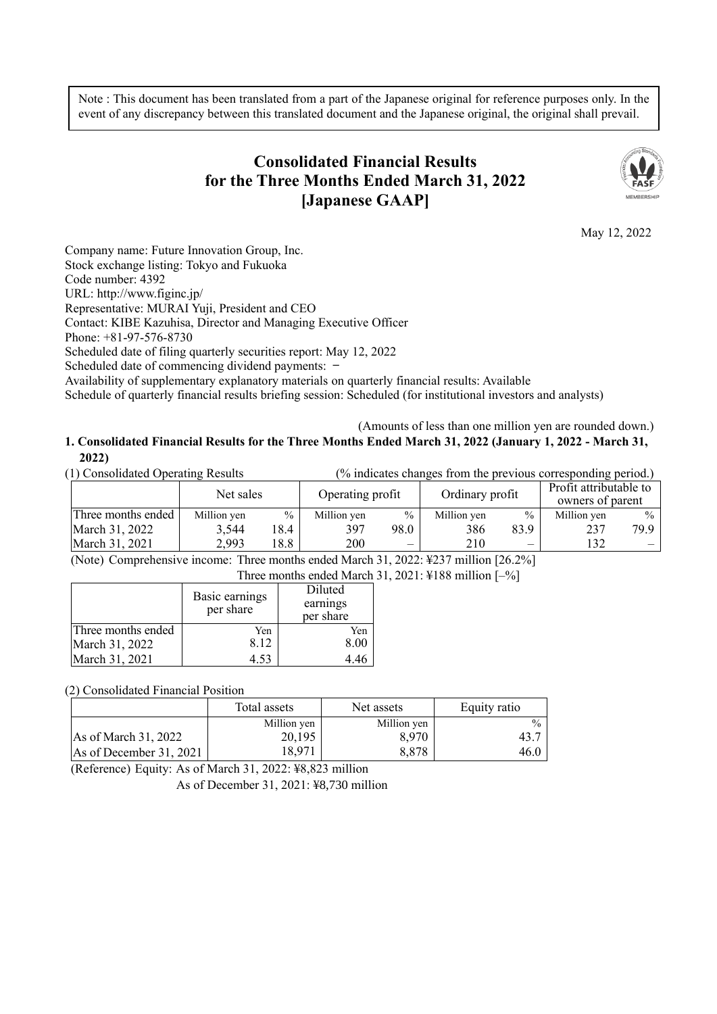Note : This document has been translated from a part of the Japanese original for reference purposes only. In the event of any discrepancy between this translated document and the Japanese original, the original shall prevail.

# **Consolidated Financial Results for the Three Months Ended March 31, 2022 [Japanese GAAP]**



May 12, 2022

Company name: Future Innovation Group, Inc. Stock exchange listing: Tokyo and Fukuoka Code number: 4392 URL: http://www.figinc.jp/ Representative: MURAI Yuji, President and CEO Contact: KIBE Kazuhisa, Director and Managing Executive Officer Phone: +81-97-576-8730 Scheduled date of filing quarterly securities report: May 12, 2022 Scheduled date of commencing dividend payments: -Availability of supplementary explanatory materials on quarterly financial results: Available

Schedule of quarterly financial results briefing session: Scheduled (for institutional investors and analysts)

#### (Amounts of less than one million yen are rounded down.) **1. Consolidated Financial Results for the Three Months Ended March 31, 2022 (January 1, 2022 - March 31, 2022)**

| (1) Consolidated Operating Results<br>(% indicates changes from the previous corresponding period.) |             |      |                  |               |                 |               |                                            |               |
|-----------------------------------------------------------------------------------------------------|-------------|------|------------------|---------------|-----------------|---------------|--------------------------------------------|---------------|
|                                                                                                     | Net sales   |      | Operating profit |               | Ordinary profit |               | Profit attributable to<br>owners of parent |               |
| Three months ended                                                                                  | Million yen | $\%$ | Million yen      | $\frac{0}{0}$ | Million yen     | $\frac{0}{0}$ | Million yen                                | $\frac{0}{0}$ |
| March 31, 2022                                                                                      | 3,544       | 18.4 | 397              | 98.0          | 386             | 83.9          | 237                                        | 79.9          |
| March 31, 2021                                                                                      | 2.993       | 18.8 | 200              |               | 210             |               | 132                                        |               |

(Note) Comprehensive income: Three months ended March 31, 2022: ¥237 million [26.2%] Three months ended March 31, 2021: ¥188 million [–%]

| Three months ended March |                |           |  |  |  |
|--------------------------|----------------|-----------|--|--|--|
|                          | Basic earnings | Diluted   |  |  |  |
|                          | per share      | earnings  |  |  |  |
|                          |                | per share |  |  |  |
| Three months ended       | Yen            | Yen       |  |  |  |
| March 31, 2022           | 8.12           | 8.00      |  |  |  |
| March 31, 2021           | 4.53           |           |  |  |  |

(2) Consolidated Financial Position

|                         | Total assets | Net assets  | Equity ratio  |
|-------------------------|--------------|-------------|---------------|
|                         | Million yen  | Million yen | $\frac{0}{0}$ |
| As of March 31, 2022    | 20,195       | 8,970       | 43.           |
| As of December 31, 2021 | 18.971       | 8,878       | 46.0          |

(Reference) Equity: As of March 31, 2022: ¥8,823 million

As of December 31, 2021: ¥8,730 million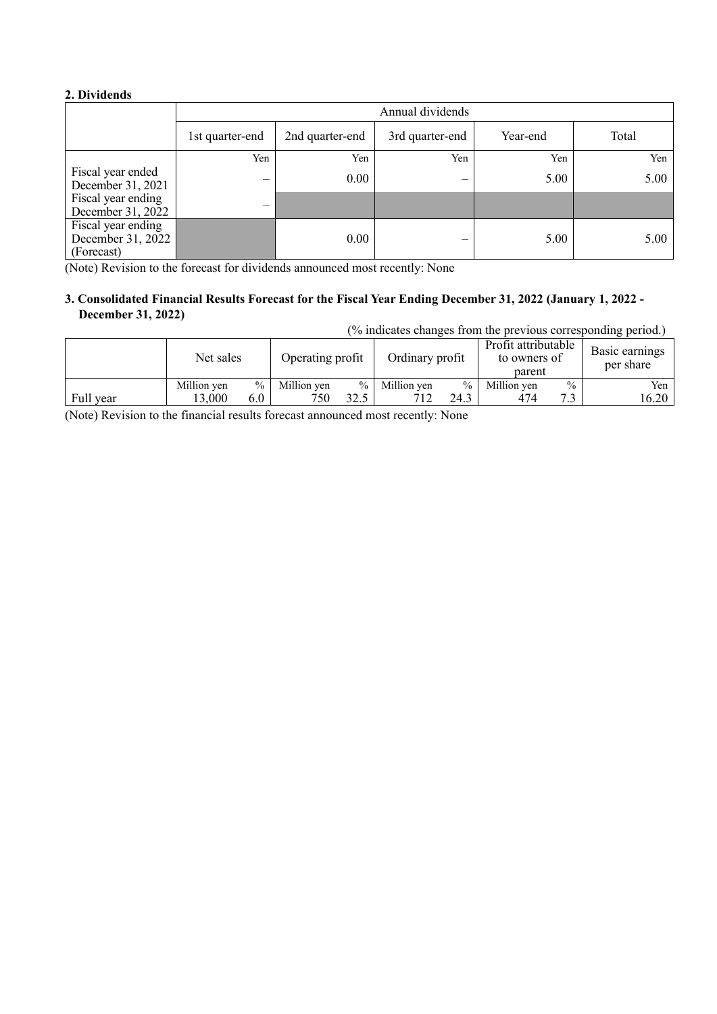#### **2. Dividends**

|                                                       | Annual dividends         |                 |                 |          |       |  |  |
|-------------------------------------------------------|--------------------------|-----------------|-----------------|----------|-------|--|--|
|                                                       | 1st quarter-end          | 2nd quarter-end | 3rd quarter-end | Year-end | Total |  |  |
|                                                       | Yen                      | Yen             | Yen             | Yen      | Yen   |  |  |
| Fiscal year ended<br>December 31, 2021                | $\overline{\phantom{0}}$ | $0.00\,$        | —               | 5.00     | 5.00  |  |  |
| Fiscal year ending<br>December 31, 2022               | $\overline{\phantom{0}}$ |                 |                 |          |       |  |  |
| Fiscal year ending<br>December 31, 2022<br>(Forecast) |                          | 0.00            |                 | 5.00     | 5.00  |  |  |

(Note) Revision to the forecast for dividends announced most recently: None

### **3. Consolidated Financial Results Forecast for the Fiscal Year Ending December 31, 2022 (January 1, 2022 - December 31, 2022)**

(% indicates changes from the previous corresponding period.)

|           | Net sales   |        | Operating profit |      | Ordinary profit |      | Profit attributable<br>to owners of<br>parent |      | Basic earnings<br>per share |
|-----------|-------------|--------|------------------|------|-----------------|------|-----------------------------------------------|------|-----------------------------|
|           | Million yen | $\%$ 1 | Million ven      | $\%$ | Million ven     | $\%$ | Million yen                                   | $\%$ | Yen 1                       |
| Full year | 13.000      | 6.0    | 750              | 32.5 |                 | 24.3 | 474                                           | 72   | 16.20                       |

(Note) Revision to the financial results forecast announced most recently: None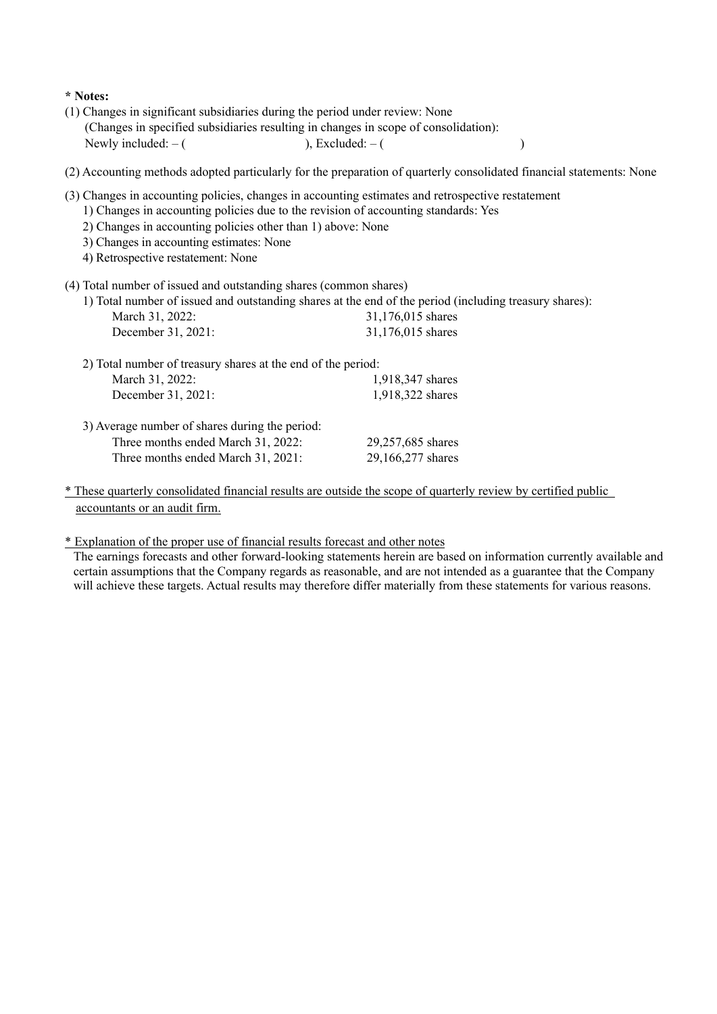### **\* Notes:**

- (1) Changes in significant subsidiaries during the period under review: None (Changes in specified subsidiaries resulting in changes in scope of consolidation): Newly included:  $-$  ( ), Excluded:  $-$  (
- (2) Accounting methods adopted particularly for the preparation of quarterly consolidated financial statements: None
- (3) Changes in accounting policies, changes in accounting estimates and retrospective restatement
	- 1) Changes in accounting policies due to the revision of accounting standards: Yes
	- 2) Changes in accounting policies other than 1) above: None
	- 3) Changes in accounting estimates: None
	- 4) Retrospective restatement: None
- (4) Total number of issued and outstanding shares (common shares)

|                    | 1) Total number of issued and outstanding shares at the end of the period (including treasury shares): |
|--------------------|--------------------------------------------------------------------------------------------------------|
| March 31, 2022:    | 31,176,015 shares                                                                                      |
| December 31, 2021: | 31,176,015 shares                                                                                      |

| 2) Total number of treasury shares at the end of the period:                                                               |                                        |
|----------------------------------------------------------------------------------------------------------------------------|----------------------------------------|
| March 31, 2022:                                                                                                            | 1,918,347 shares                       |
| December 31, 2021:                                                                                                         | 1,918,322 shares                       |
| 3) Average number of shares during the period:<br>Three months ended March 31, 2022:<br>Three months ended March 31, 2021: | 29,257,685 shares<br>29,166,277 shares |

\* These quarterly consolidated financial results are outside the scope of quarterly review by certified public accountants or an audit firm.

\* Explanation of the proper use of financial results forecast and other notes

The earnings forecasts and other forward-looking statements herein are based on information currently available and certain assumptions that the Company regards as reasonable, and are not intended as a guarantee that the Company will achieve these targets. Actual results may therefore differ materially from these statements for various reasons.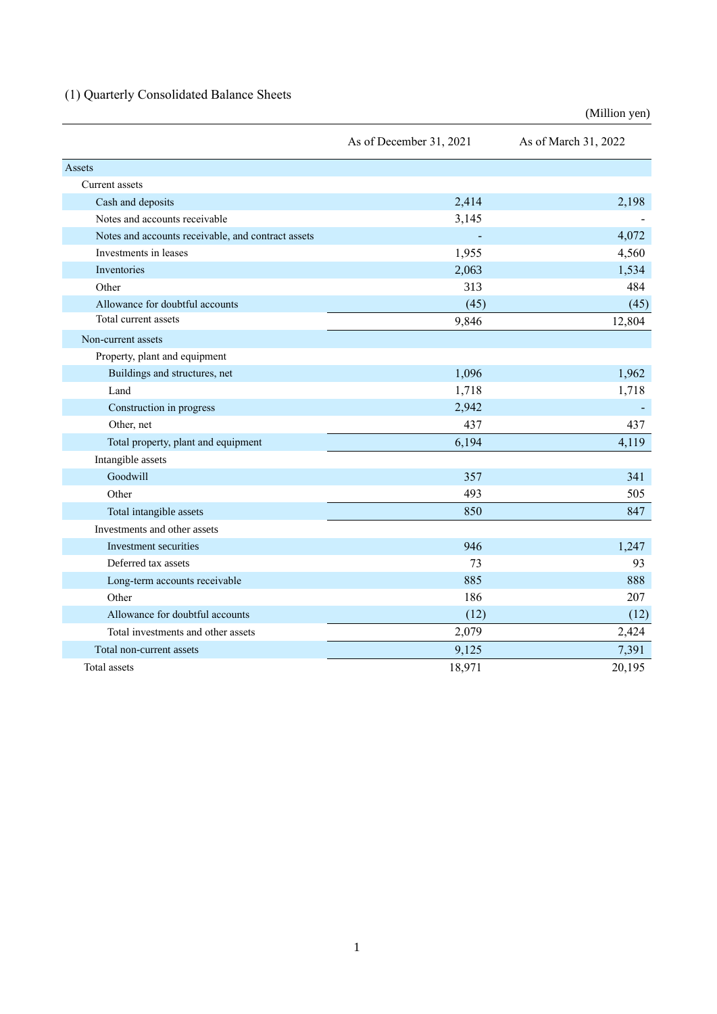# (1) Quarterly Consolidated Balance Sheets

|                                                    | As of December 31, 2021 | As of March 31, 2022 |
|----------------------------------------------------|-------------------------|----------------------|
| Assets                                             |                         |                      |
| Current assets                                     |                         |                      |
| Cash and deposits                                  | 2,414                   | 2,198                |
| Notes and accounts receivable                      | 3,145                   |                      |
| Notes and accounts receivable, and contract assets |                         | 4,072                |
| Investments in leases                              | 1,955                   | 4,560                |
| Inventories                                        | 2,063                   | 1,534                |
| Other                                              | 313                     | 484                  |
| Allowance for doubtful accounts                    | (45)                    | (45)                 |
| Total current assets                               | 9,846                   | 12,804               |
| Non-current assets                                 |                         |                      |
| Property, plant and equipment                      |                         |                      |
| Buildings and structures, net                      | 1,096                   | 1,962                |
| Land                                               | 1,718                   | 1,718                |
| Construction in progress                           | 2,942                   |                      |
| Other, net                                         | 437                     | 437                  |
| Total property, plant and equipment                | 6,194                   | 4,119                |
| Intangible assets                                  |                         |                      |
| Goodwill                                           | 357                     | 341                  |
| Other                                              | 493                     | 505                  |
| Total intangible assets                            | 850                     | 847                  |
| Investments and other assets                       |                         |                      |
| Investment securities                              | 946                     | 1,247                |
| Deferred tax assets                                | 73                      | 93                   |
| Long-term accounts receivable                      | 885                     | 888                  |
| Other                                              | 186                     | 207                  |
| Allowance for doubtful accounts                    | (12)                    | (12)                 |
| Total investments and other assets                 | 2,079                   | 2,424                |
| Total non-current assets                           | 9,125                   | 7,391                |
| Total assets                                       | 18,971                  | 20,195               |

(Million yen)

1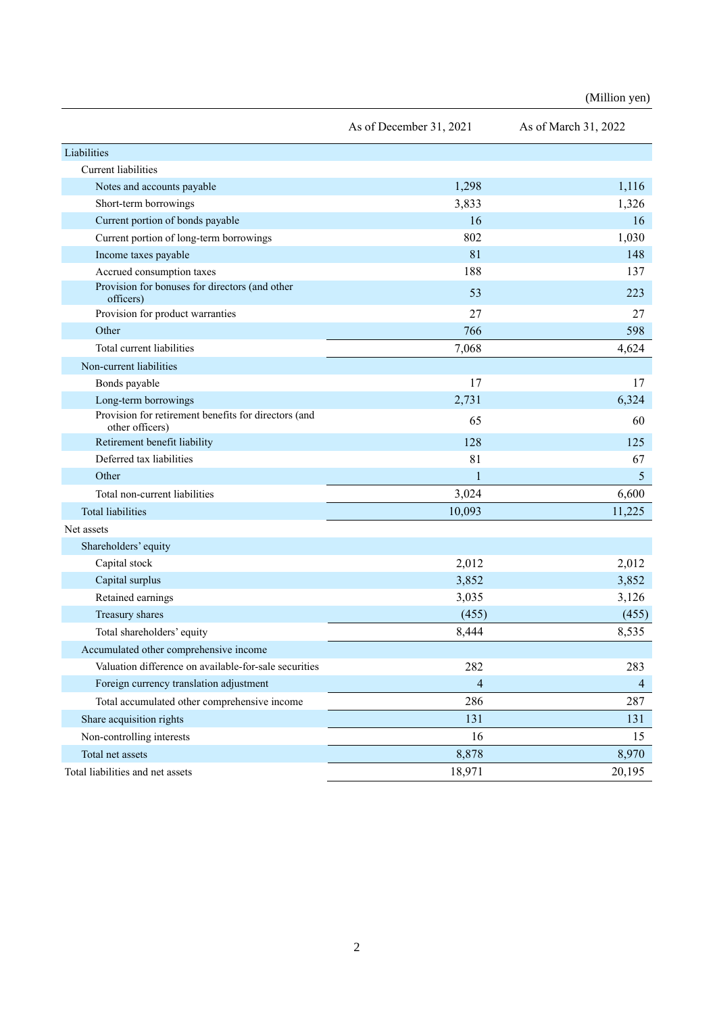| (Million yen) |  |
|---------------|--|

|                                                                         | As of December 31, 2021 | As of March 31, 2022 |
|-------------------------------------------------------------------------|-------------------------|----------------------|
| Liabilities                                                             |                         |                      |
| <b>Current liabilities</b>                                              |                         |                      |
| Notes and accounts payable                                              | 1,298                   | 1,116                |
| Short-term borrowings                                                   | 3,833                   | 1,326                |
| Current portion of bonds payable                                        | 16                      | 16                   |
| Current portion of long-term borrowings                                 | 802                     | 1,030                |
| Income taxes payable                                                    | 81                      | 148                  |
| Accrued consumption taxes                                               | 188                     | 137                  |
| Provision for bonuses for directors (and other<br>officers)             | 53                      | 223                  |
| Provision for product warranties                                        | 27                      | 27                   |
| Other                                                                   | 766                     | 598                  |
| Total current liabilities                                               | 7,068                   | 4,624                |
| Non-current liabilities                                                 |                         |                      |
| Bonds payable                                                           | 17                      | 17                   |
| Long-term borrowings                                                    | 2,731                   | 6,324                |
| Provision for retirement benefits for directors (and<br>other officers) | 65                      | 60                   |
| Retirement benefit liability                                            | 128                     | 125                  |
| Deferred tax liabilities                                                | 81                      | 67                   |
| Other                                                                   | 1                       | 5                    |
| Total non-current liabilities                                           | 3,024                   | 6,600                |
| <b>Total liabilities</b>                                                | 10,093                  | 11,225               |
| Net assets                                                              |                         |                      |
| Shareholders' equity                                                    |                         |                      |
| Capital stock                                                           | 2,012                   | 2,012                |
| Capital surplus                                                         | 3,852                   | 3,852                |
| Retained earnings                                                       | 3,035                   | 3,126                |
| Treasury shares                                                         | (455)                   | (455)                |
| Total shareholders' equity                                              | 8,444                   | 8,535                |
| Accumulated other comprehensive income                                  |                         |                      |
| Valuation difference on available-for-sale securities                   | 282                     | 283                  |
| Foreign currency translation adjustment                                 | $\overline{4}$          | $\overline{4}$       |
| Total accumulated other comprehensive income                            | 286                     | 287                  |
| Share acquisition rights                                                | 131                     | 131                  |
| Non-controlling interests                                               | 16                      | 15                   |
| Total net assets                                                        | 8,878                   | 8,970                |
| Total liabilities and net assets                                        | 18,971                  | 20,195               |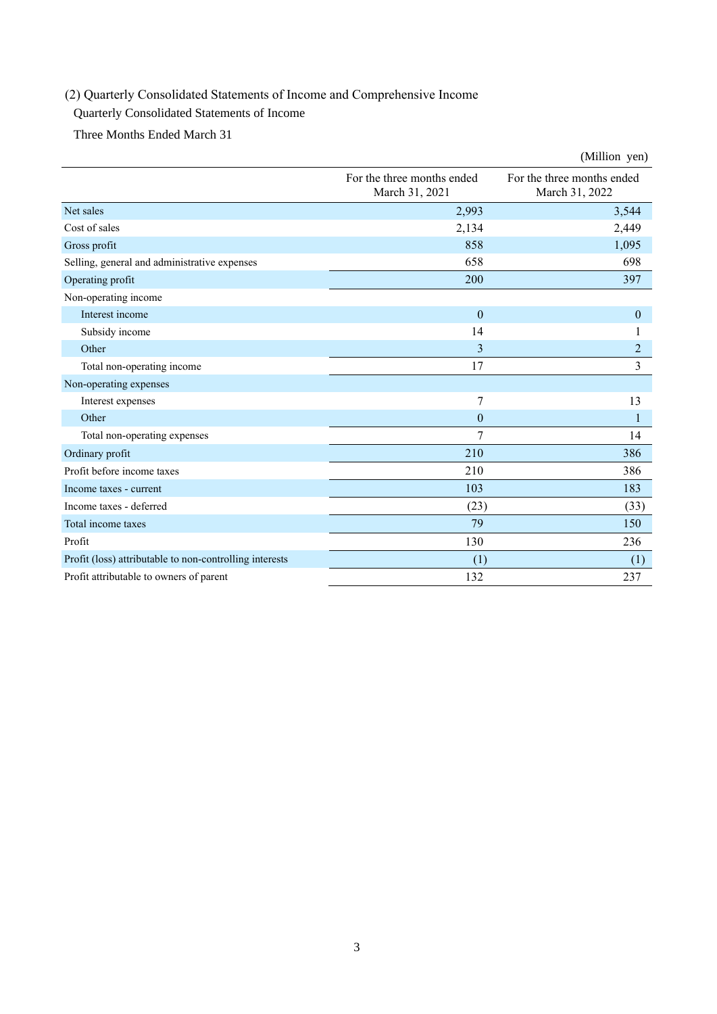# (2) Quarterly Consolidated Statements of Income and Comprehensive Income

### Quarterly Consolidated Statements of Income

Three Months Ended March 31

|                                                         |                                              | (Million yen)                                |
|---------------------------------------------------------|----------------------------------------------|----------------------------------------------|
|                                                         | For the three months ended<br>March 31, 2021 | For the three months ended<br>March 31, 2022 |
| Net sales                                               | 2,993                                        | 3,544                                        |
| Cost of sales                                           | 2,134                                        | 2,449                                        |
| Gross profit                                            | 858                                          | 1,095                                        |
| Selling, general and administrative expenses            | 658                                          | 698                                          |
| Operating profit                                        | 200                                          | 397                                          |
| Non-operating income                                    |                                              |                                              |
| Interest income                                         | $\mathbf{0}$                                 | $\boldsymbol{0}$                             |
| Subsidy income                                          | 14                                           | 1                                            |
| Other                                                   | 3                                            | $\overline{2}$                               |
| Total non-operating income                              | 17                                           | $\overline{3}$                               |
| Non-operating expenses                                  |                                              |                                              |
| Interest expenses                                       | 7                                            | 13                                           |
| Other                                                   | $\overline{0}$                               | 1                                            |
| Total non-operating expenses                            | 7                                            | 14                                           |
| Ordinary profit                                         | 210                                          | 386                                          |
| Profit before income taxes                              | 210                                          | 386                                          |
| Income taxes - current                                  | 103                                          | 183                                          |
| Income taxes - deferred                                 | (23)                                         | (33)                                         |
| Total income taxes                                      | 79                                           | 150                                          |
| Profit                                                  | 130                                          | 236                                          |
| Profit (loss) attributable to non-controlling interests | (1)                                          | (1)                                          |
| Profit attributable to owners of parent                 | 132                                          | 237                                          |